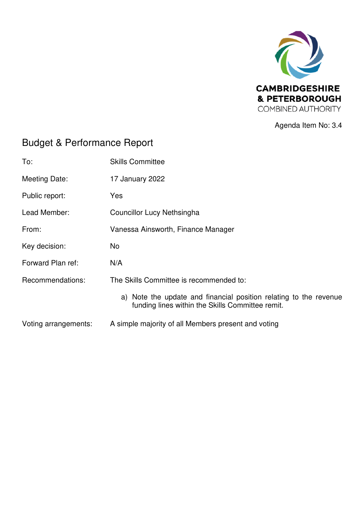

Agenda Item No: 3.4

# Budget & Performance Report

| To:                  | <b>Skills Committee</b>                                                                                               |
|----------------------|-----------------------------------------------------------------------------------------------------------------------|
| Meeting Date:        | 17 January 2022                                                                                                       |
| Public report:       | Yes                                                                                                                   |
| Lead Member:         | Councillor Lucy Nethsingha                                                                                            |
| From:                | Vanessa Ainsworth, Finance Manager                                                                                    |
| Key decision:        | No.                                                                                                                   |
| Forward Plan ref:    | N/A                                                                                                                   |
| Recommendations:     | The Skills Committee is recommended to:                                                                               |
|                      | a) Note the update and financial position relating to the revenue<br>funding lines within the Skills Committee remit. |
| Voting arrangements: | A simple majority of all Members present and voting                                                                   |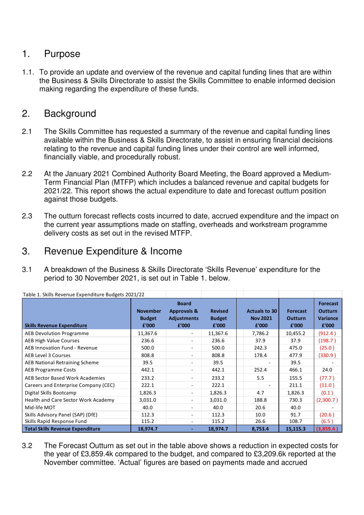## 1. Purpose

1.1. To provide an update and overview of the revenue and capital funding lines that are within the Business & Skills Directorate to assist the Skills Committee to enable informed decision making regarding the expenditure of these funds.

## 2. Background

- 2.1 The Skills Committee has requested a summary of the revenue and capital funding lines available within the Business & Skills Directorate, to assist in ensuring financial decisions relating to the revenue and capital funding lines under their control are well informed, financially viable, and procedurally robust.
- 2.2 At the January 2021 Combined Authority Board Meeting, the Board approved a Medium-Term Financial Plan (MTFP) which includes a balanced revenue and capital budgets for 2021/22. This report shows the actual expenditure to date and forecast outturn position against those budgets.
- 2.3 The outturn forecast reflects costs incurred to date, accrued expenditure and the impact on the current year assumptions made on staffing, overheads and workstream programme delivery costs as set out in the revised MTFP.

#### 3. Revenue Expenditure & Income

3.1 A breakdown of the Business & Skills Directorate 'Skills Revenue' expenditure for the period to 30 November 2021, is set out in Table 1. below.

| Table 1. Skills Revenue Expenditure Budgets 2021/22 |                                           |                                                                       |                                          |                                           |                                            |                                                               |
|-----------------------------------------------------|-------------------------------------------|-----------------------------------------------------------------------|------------------------------------------|-------------------------------------------|--------------------------------------------|---------------------------------------------------------------|
| <b>Skills Revenue Expenditure</b>                   | <b>November</b><br><b>Budget</b><br>£'000 | <b>Board</b><br><b>Approvals &amp;</b><br><b>Adjustments</b><br>£'000 | <b>Revised</b><br><b>Budget</b><br>£'000 | Actuals to 30<br><b>Nov 2021</b><br>£'000 | <b>Forecast</b><br><b>Outturn</b><br>£'000 | <b>Forecast</b><br><b>Outturn</b><br><b>Variance</b><br>£'000 |
| <b>AEB Devolution Programme</b>                     | 11,367.6                                  |                                                                       | 11,367.6                                 | 7,786.2                                   | 10,455.2                                   | (912.4)                                                       |
| <b>AEB High Value Courses</b>                       | 236.6                                     |                                                                       | 236.6                                    | 37.9                                      | 37.9                                       | (198.7)                                                       |
| AEB Innovation Fund - Revenue                       | 500.0                                     |                                                                       | 500.0                                    | 242.3                                     | 475.0                                      | (25.0)                                                        |
| <b>AEB Level 3 Courses</b>                          | 808.8                                     |                                                                       | 808.8                                    | 178.4                                     | 477.9                                      | (330.9)                                                       |
| <b>AEB National Retraining Scheme</b>               | 39.5                                      |                                                                       | 39.5                                     |                                           | 39.5                                       |                                                               |
| <b>AEB Programme Costs</b>                          | 442.1                                     |                                                                       | 442.1                                    | 252.4                                     | 466.1                                      | 24.0                                                          |
| AEB Sector Based Work Academies                     | 233.2                                     |                                                                       | 233.2                                    | 5.5                                       | 155.5                                      | (77.7)                                                        |
| Careers and Enterprise Company (CEC)                | 222.1                                     |                                                                       | 222.1                                    |                                           | 211.1                                      | (11.0)                                                        |
| Digital Skills Bootcamp                             | 1,826.3                                   |                                                                       | 1,826.3                                  | 4.7                                       | 1,826.3                                    | (0.1)                                                         |
| Health and Care Sector Work Academy                 | 3,031.0                                   |                                                                       | 3,031.0                                  | 188.8                                     | 730.3                                      | (2,300.7)                                                     |
| Mid-life MOT                                        | 40.0                                      |                                                                       | 40.0                                     | 20.6                                      | 40.0                                       |                                                               |
| Skills Advisory Panel (SAP) (DfE)                   | 112.3                                     |                                                                       | 112.3                                    | 10.0                                      | 91.7                                       | (20.6)                                                        |
| Skills Rapid Response Fund                          | 115.2                                     | $\overline{\phantom{a}}$                                              | 115.2                                    | 26.6                                      | 108.7                                      | (6.5)                                                         |
| <b>Total Skills Revenue Expenditure</b>             | 18,974.7                                  |                                                                       | 18,974.7                                 | 8,753.4                                   | 15,115.3                                   | (3,859.4)                                                     |

3.2 The Forecast Outturn as set out in the table above shows a reduction in expected costs for the year of £3,859.4k compared to the budget, and compared to £3,209.6k reported at the November committee. 'Actual' figures are based on payments made and accrued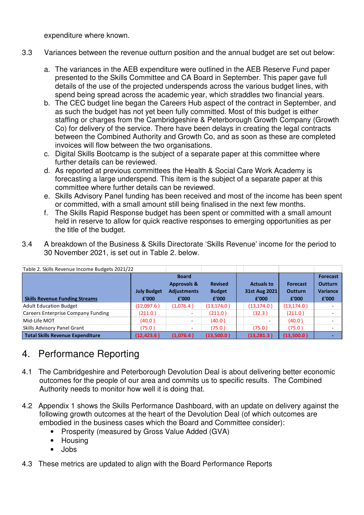expenditure where known.

- 3.3 Variances between the revenue outturn position and the annual budget are set out below:
	- a. The variances in the AEB expenditure were outlined in the AEB Reserve Fund paper presented to the Skills Committee and CA Board in September. This paper gave full details of the use of the projected underspends across the various budget lines, with spend being spread across the academic year, which straddles two financial years.
	- b. The CEC budget line began the Careers Hub aspect of the contract in September, and as such the budget has not yet been fully committed. Most of this budget is either staffing or charges from the Cambridgeshire & Peterborough Growth Company (Growth Co) for delivery of the service. There have been delays in creating the legal contracts between the Combined Authority and Growth Co, and as soon as these are completed invoices will flow between the two organisations.
	- c. Digital Skills Bootcamp is the subject of a separate paper at this committee where further details can be reviewed.
	- d. As reported at previous committees the Health & Social Care Work Academy is forecasting a large underspend. This item is the subject of a separate paper at this committee where further details can be reviewed.
	- e. Skills Advisory Panel funding has been received and most of the income has been spent or committed, with a small amount still being finalised in the next few months.
	- f. The Skills Rapid Response budget has been spent or committed with a small amount held in reserve to allow for quick reactive responses to emerging opportunities as per the title of the budget.
- 3.4 A breakdown of the Business & Skills Directorate 'Skills Revenue' income for the period to 30 November 2021, is set out in Table 2. below.

| Table 2. Skills Revenue Income Budgets 2021/22 |                             |                                                                       |                                          |                                             |                                            |                                                               |
|------------------------------------------------|-----------------------------|-----------------------------------------------------------------------|------------------------------------------|---------------------------------------------|--------------------------------------------|---------------------------------------------------------------|
| <b>Skills Revenue Funding Streams</b>          | <b>July Budget</b><br>£'000 | <b>Board</b><br><b>Approvals &amp;</b><br><b>Adjustments</b><br>£'000 | <b>Revised</b><br><b>Budget</b><br>£'000 | <b>Actuals to</b><br>31st Aug 2021<br>£'000 | <b>Forecast</b><br><b>Outturn</b><br>£'000 | <b>Forecast</b><br><b>Outturn</b><br><b>Variance</b><br>£'000 |
| <b>Adult Education Budget</b>                  | (12,097.6)                  | (1,076.4)                                                             | (13, 174.0)                              | (13, 174.0)                                 | (13, 174.0)                                | $\overline{\phantom{a}}$                                      |
| Careers Enterprise Company Funding             | (211.0)                     |                                                                       | (211.0)                                  | (32.3)                                      | (211.0)                                    | $\overline{\phantom{0}}$                                      |
| Mid-Life MOT                                   | (40.0)                      |                                                                       | (40.0)                                   |                                             | (40.0)                                     | -                                                             |
| Skills Advisory Panel Grant                    | (75.0)                      | ۰.                                                                    | (75.0 )                                  | (75.0)                                      | (75.0)                                     | $\sim$                                                        |
| <b>Total Skills Revenue Expenditure</b>        | (12,423.6 )                 | (1,076.4)                                                             | (13,500.0)                               | (13, 281.3)                                 | (13,500.0)                                 |                                                               |

#### 4. Performance Reporting

- 4.1 The Cambridgeshire and Peterborough Devolution Deal is about delivering better economic outcomes for the people of our area and commits us to specific results. The Combined Authority needs to monitor how well it is doing that.
- 4.2 Appendix 1 shows the Skills Performance Dashboard, with an update on delivery against the following growth outcomes at the heart of the Devolution Deal (of which outcomes are embodied in the business cases which the Board and Committee consider):
	- Prosperity (measured by Gross Value Added (GVA)
	- Housing
	- Jobs
- 4.3 These metrics are updated to align with the Board Performance Reports